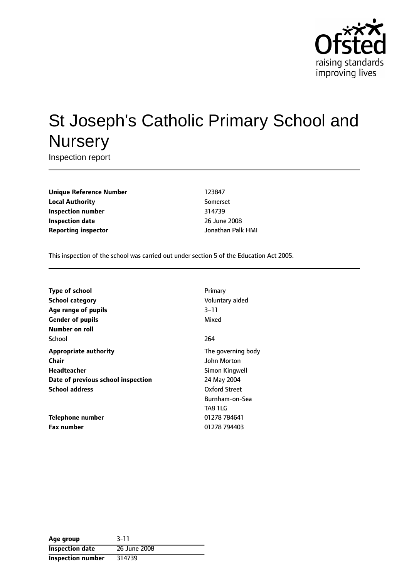

# St Joseph's Catholic Primary School and **Nursery**

Inspection report

**Unique Reference Number** 123847 **Local Authority** Somerset **Inspection number** 314739 **Inspection date** 2008 **Reporting inspector** Jonathan Palk HMI

This inspection of the school was carried out under section 5 of the Education Act 2005.

| <b>Type of school</b>              | Primary            |
|------------------------------------|--------------------|
| <b>School category</b>             | Voluntary aided    |
| Age range of pupils                | $3 - 11$           |
| <b>Gender of pupils</b>            | Mixed              |
| Number on roll                     |                    |
| School                             | 264                |
| <b>Appropriate authority</b>       | The governing body |
| Chair                              | John Morton        |
| <b>Headteacher</b>                 | Simon Kingwell     |
| Date of previous school inspection | 24 May 2004        |
| <b>School address</b>              | Oxford Street      |
|                                    | Burnham-on-Sea     |
|                                    | TA8 1LG            |
| <b>Telephone number</b>            | 01278 784641       |
| <b>Fax number</b>                  | 01278 794403       |

| Age group                | $3 - 11$     |
|--------------------------|--------------|
| <b>Inspection date</b>   | 26 June 2008 |
| <b>Inspection number</b> | 314739       |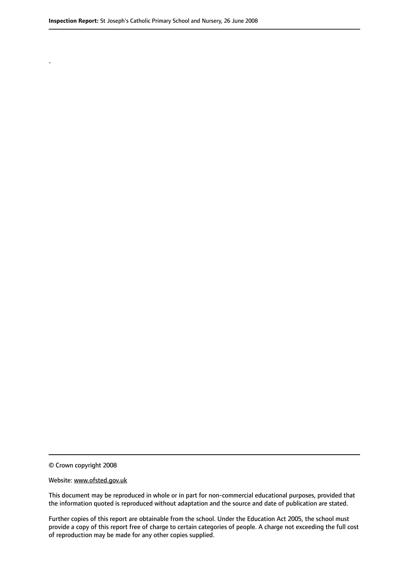.

© Crown copyright 2008

#### Website: www.ofsted.gov.uk

This document may be reproduced in whole or in part for non-commercial educational purposes, provided that the information quoted is reproduced without adaptation and the source and date of publication are stated.

Further copies of this report are obtainable from the school. Under the Education Act 2005, the school must provide a copy of this report free of charge to certain categories of people. A charge not exceeding the full cost of reproduction may be made for any other copies supplied.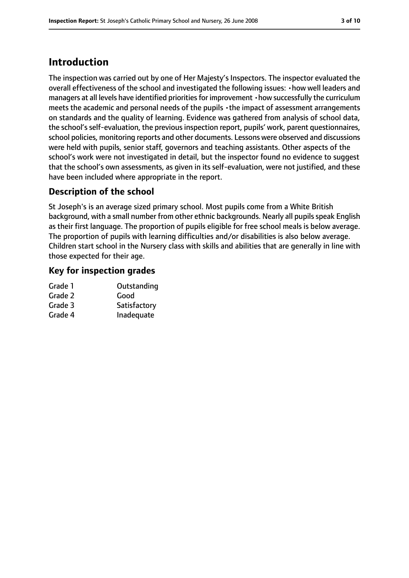# **Introduction**

The inspection was carried out by one of Her Majesty's Inspectors. The inspector evaluated the overall effectiveness of the school and investigated the following issues: •how well leaders and managers at all levels have identified priorities for improvement  $\cdot$  how successfully the curriculum meets the academic and personal needs of the pupils •the impact of assessment arrangements on standards and the quality of learning. Evidence was gathered from analysis of school data, the school's self-evaluation, the previous inspection report, pupils' work, parent questionnaires, school policies, monitoring reports and other documents. Lessons were observed and discussions were held with pupils, senior staff, governors and teaching assistants. Other aspects of the school's work were not investigated in detail, but the inspector found no evidence to suggest that the school's own assessments, as given in its self-evaluation, were not justified, and these have been included where appropriate in the report.

## **Description of the school**

St Joseph's is an average sized primary school. Most pupils come from a White British background, with a small number from other ethnic backgrounds. Nearly all pupils speak English as their first language. The proportion of pupils eligible for free school meals is below average. The proportion of pupils with learning difficulties and/or disabilities is also below average. Children start school in the Nursery class with skills and abilities that are generally in line with those expected for their age.

## **Key for inspection grades**

| Outstanding  |
|--------------|
| Good         |
| Satisfactory |
| Inadequate   |
|              |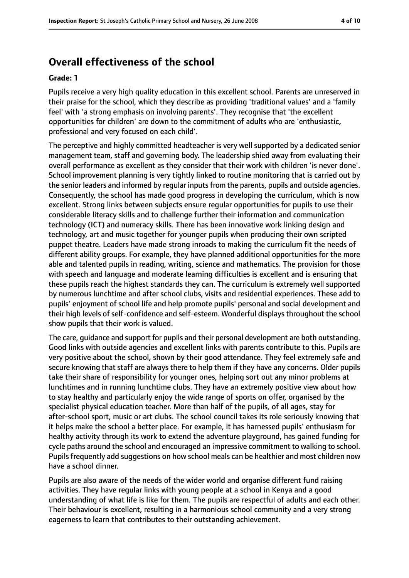# **Overall effectiveness of the school**

#### **Grade: 1**

Pupils receive a very high quality education in this excellent school. Parents are unreserved in their praise for the school, which they describe as providing 'traditional values' and a 'family feel' with 'a strong emphasis on involving parents'. They recognise that 'the excellent opportunities for children' are down to the commitment of adults who are 'enthusiastic, professional and very focused on each child'.

The perceptive and highly committed headteacher is very well supported by a dedicated senior management team, staff and governing body. The leadership shied away from evaluating their overall performance as excellent as they consider that their work with children 'is never done'. School improvement planning is very tightly linked to routine monitoring that is carried out by the senior leaders and informed by regular inputs from the parents, pupils and outside agencies. Consequently, the school has made good progress in developing the curriculum, which is now excellent. Strong links between subjects ensure regular opportunities for pupils to use their considerable literacy skills and to challenge further their information and communication technology (ICT) and numeracy skills. There has been innovative work linking design and technology, art and music together for younger pupils when producing their own scripted puppet theatre. Leaders have made strong inroads to making the curriculum fit the needs of different ability groups. For example, they have planned additional opportunities for the more able and talented pupils in reading, writing, science and mathematics. The provision for those with speech and language and moderate learning difficulties is excellent and is ensuring that these pupils reach the highest standards they can. The curriculum is extremely well supported by numerous lunchtime and after school clubs, visits and residential experiences. These add to pupils' enjoyment of school life and help promote pupils' personal and social development and their high levels of self-confidence and self-esteem. Wonderful displays throughout the school show pupils that their work is valued.

The care, guidance and support for pupils and their personal development are both outstanding. Good links with outside agencies and excellent links with parents contribute to this. Pupils are very positive about the school, shown by their good attendance. They feel extremely safe and secure knowing that staff are always there to help them if they have any concerns. Older pupils take their share of responsibility for younger ones, helping sort out any minor problems at lunchtimes and in running lunchtime clubs. They have an extremely positive view about how to stay healthy and particularly enjoy the wide range of sports on offer, organised by the specialist physical education teacher. More than half of the pupils, of all ages, stay for after-school sport, music or art clubs. The school council takes its role seriously knowing that it helps make the school a better place. For example, it has harnessed pupils' enthusiasm for healthy activity through its work to extend the adventure playground, has gained funding for cycle paths around the school and encouraged an impressive commitment to walking to school. Pupils frequently add suggestions on how school meals can be healthier and most children now have a school dinner.

Pupils are also aware of the needs of the wider world and organise different fund raising activities. They have regular links with young people at a school in Kenya and a good understanding of what life is like for them. The pupils are respectful of adults and each other. Their behaviour is excellent, resulting in a harmonious school community and a very strong eagerness to learn that contributes to their outstanding achievement.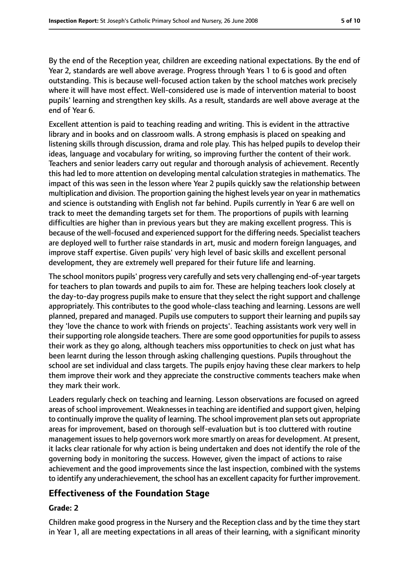By the end of the Reception year, children are exceeding national expectations. By the end of Year 2, standards are well above average. Progress through Years 1 to 6 is good and often outstanding. This is because well-focused action taken by the school matches work precisely where it will have most effect. Well-considered use is made of intervention material to boost pupils' learning and strengthen key skills. As a result, standards are well above average at the end of Year 6.

Excellent attention is paid to teaching reading and writing. This is evident in the attractive library and in books and on classroom walls. A strong emphasis is placed on speaking and listening skills through discussion, drama and role play. This has helped pupils to develop their ideas, language and vocabulary for writing, so improving further the content of their work. Teachers and senior leaders carry out regular and thorough analysis of achievement. Recently this had led to more attention on developing mental calculation strategies in mathematics. The impact of this was seen in the lesson where Year 2 pupils quickly saw the relationship between multiplication and division. The proportion gaining the highest levels year on year in mathematics and science is outstanding with English not far behind. Pupils currently in Year 6 are well on track to meet the demanding targets set for them. The proportions of pupils with learning difficulties are higher than in previous years but they are making excellent progress. This is because of the well-focused and experienced support for the differing needs. Specialist teachers are deployed well to further raise standards in art, music and modern foreign languages, and improve staff expertise. Given pupils' very high level of basic skills and excellent personal development, they are extremely well prepared for their future life and learning.

The school monitors pupils' progress very carefully and sets very challenging end-of-year targets for teachers to plan towards and pupils to aim for. These are helping teachers look closely at the day-to-day progress pupils make to ensure that they select the right support and challenge appropriately. This contributes to the good whole-class teaching and learning. Lessons are well planned, prepared and managed. Pupils use computers to support their learning and pupils say they 'love the chance to work with friends on projects'. Teaching assistants work very well in their supporting role alongside teachers. There are some good opportunities for pupils to assess their work as they go along, although teachers miss opportunities to check on just what has been learnt during the lesson through asking challenging questions. Pupils throughout the school are set individual and class targets. The pupils enjoy having these clear markers to help them improve their work and they appreciate the constructive comments teachers make when they mark their work.

Leaders regularly check on teaching and learning. Lesson observations are focused on agreed areas of school improvement. Weaknesses in teaching are identified and support given, helping to continually improve the quality of learning. The school improvement plan sets out appropriate areas for improvement, based on thorough self-evaluation but is too cluttered with routine management issues to help governors work more smartly on areas for development. At present, it lacks clear rationale for why action is being undertaken and does not identify the role of the governing body in monitoring the success. However, given the impact of actions to raise achievement and the good improvements since the last inspection, combined with the systems to identify any underachievement, the school has an excellent capacity for further improvement.

## **Effectiveness of the Foundation Stage**

#### **Grade: 2**

Children make good progress in the Nursery and the Reception class and by the time they start in Year 1, all are meeting expectations in all areas of their learning, with a significant minority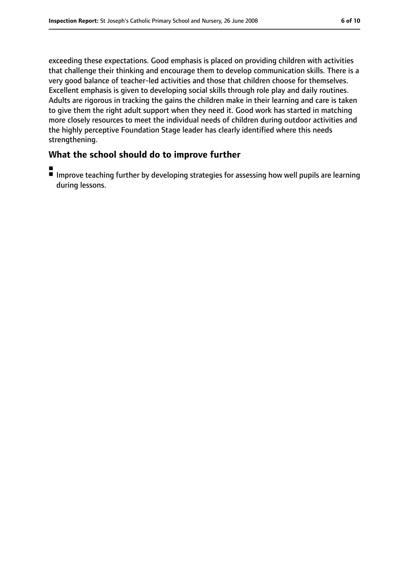exceeding these expectations. Good emphasis is placed on providing children with activities that challenge their thinking and encourage them to develop communication skills. There is a very good balance of teacher-led activities and those that children choose for themselves. Excellent emphasis is given to developing social skills through role play and daily routines. Adults are rigorous in tracking the gains the children make in their learning and care is taken to give them the right adult support when they need it. Good work has started in matching more closely resources to meet the individual needs of children during outdoor activities and the highly perceptive Foundation Stage leader has clearly identified where this needs strengthening.

## **What the school should do to improve further**

- ■
- Improve teaching further by developing strategies for assessing how well pupils are learning during lessons.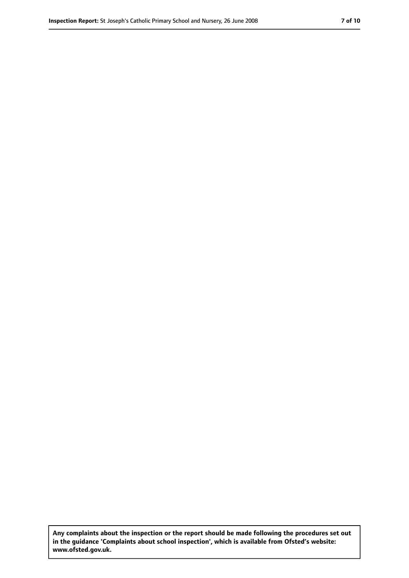**Any complaints about the inspection or the report should be made following the procedures set out in the guidance 'Complaints about school inspection', which is available from Ofsted's website: www.ofsted.gov.uk.**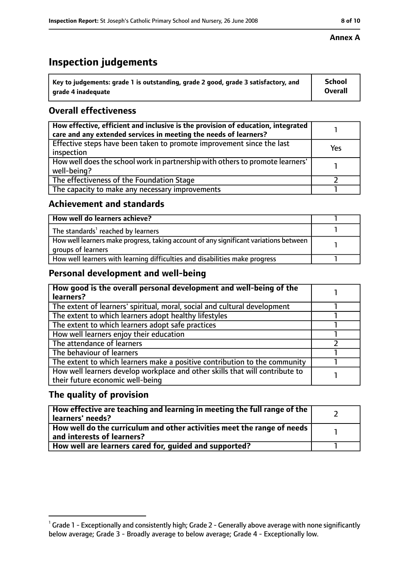# **Inspection judgements**

| $^{\backprime}$ Key to judgements: grade 1 is outstanding, grade 2 good, grade 3 satisfactory, and | <b>School</b>  |
|----------------------------------------------------------------------------------------------------|----------------|
| arade 4 inadeguate                                                                                 | <b>Overall</b> |

## **Overall effectiveness**

| How effective, efficient and inclusive is the provision of education, integrated<br>care and any extended services in meeting the needs of learners? |     |
|------------------------------------------------------------------------------------------------------------------------------------------------------|-----|
| Effective steps have been taken to promote improvement since the last<br>inspection                                                                  | Yes |
| How well does the school work in partnership with others to promote learners'<br>well-being?                                                         |     |
| The effectiveness of the Foundation Stage                                                                                                            |     |
| The capacity to make any necessary improvements                                                                                                      |     |

#### **Achievement and standards**

| How well do learners achieve?                                                                               |  |
|-------------------------------------------------------------------------------------------------------------|--|
| The standards <sup>1</sup> reached by learners                                                              |  |
| How well learners make progress, taking account of any significant variations between<br>groups of learners |  |
| How well learners with learning difficulties and disabilities make progress                                 |  |

## **Personal development and well-being**

| How good is the overall personal development and well-being of the<br>learners?                                  |  |
|------------------------------------------------------------------------------------------------------------------|--|
| The extent of learners' spiritual, moral, social and cultural development                                        |  |
| The extent to which learners adopt healthy lifestyles                                                            |  |
| The extent to which learners adopt safe practices                                                                |  |
| How well learners enjoy their education                                                                          |  |
| The attendance of learners                                                                                       |  |
| The behaviour of learners                                                                                        |  |
| The extent to which learners make a positive contribution to the community                                       |  |
| How well learners develop workplace and other skills that will contribute to<br>their future economic well-being |  |

## **The quality of provision**

| How effective are teaching and learning in meeting the full range of the<br>learners' needs?          |  |
|-------------------------------------------------------------------------------------------------------|--|
| How well do the curriculum and other activities meet the range of needs<br>and interests of learners? |  |
| How well are learners cared for, quided and supported?                                                |  |

#### **Annex A**

 $^1$  Grade 1 - Exceptionally and consistently high; Grade 2 - Generally above average with none significantly below average; Grade 3 - Broadly average to below average; Grade 4 - Exceptionally low.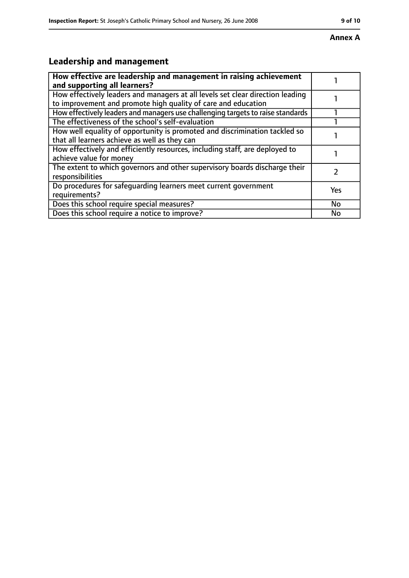#### **Annex A**

# **Leadership and management**

| How effective are leadership and management in raising achievement<br>and supporting all learners?                                              |           |
|-------------------------------------------------------------------------------------------------------------------------------------------------|-----------|
| How effectively leaders and managers at all levels set clear direction leading<br>to improvement and promote high quality of care and education |           |
| How effectively leaders and managers use challenging targets to raise standards                                                                 |           |
| The effectiveness of the school's self-evaluation                                                                                               |           |
| How well equality of opportunity is promoted and discrimination tackled so<br>that all learners achieve as well as they can                     |           |
| How effectively and efficiently resources, including staff, are deployed to<br>achieve value for money                                          |           |
| The extent to which governors and other supervisory boards discharge their<br>responsibilities                                                  |           |
| Do procedures for safequarding learners meet current government<br>requirements?                                                                | Yes       |
| Does this school require special measures?                                                                                                      | <b>No</b> |
| Does this school require a notice to improve?                                                                                                   | No        |